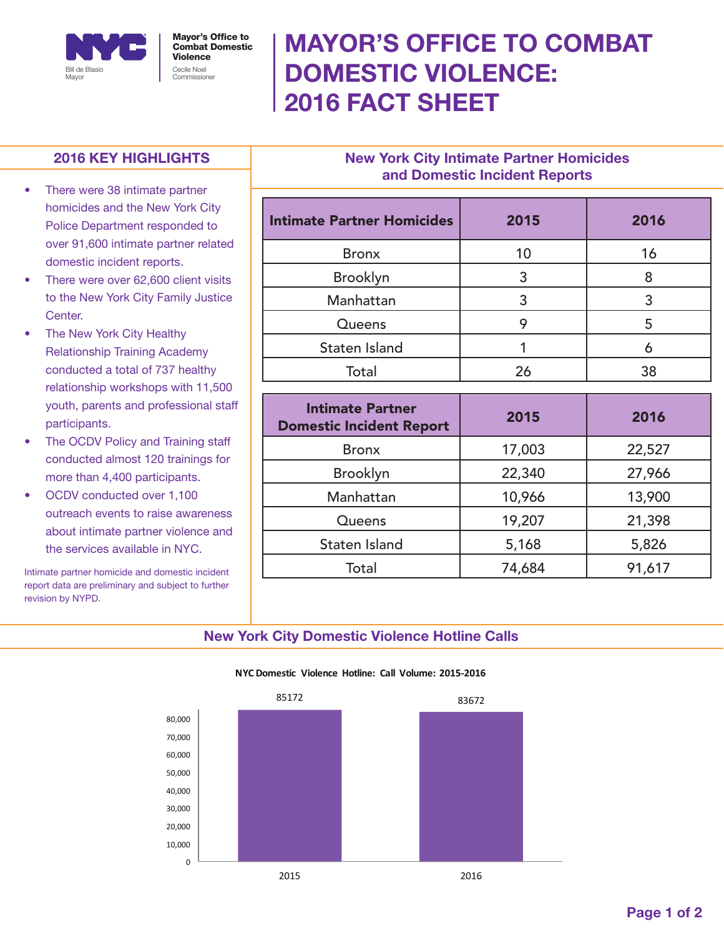

Cecile Noel Commissioner Mayor's Office to Combat Domestic Violence

# MAYOR'S OFFICE TO COMBAT DOMESTIC VIOLENCE: 2016 FACT SHEET

## 2016 KEY HIGHLIGHTS

- There were 38 intimate partner homicides and the New York City Police Department responded to over 91,600 intimate partner related domestic incident reports.
- There were over 62,600 client visits to the New York City Family Justice Center.
- The New York City Healthy Relationship Training Academy conducted a total of 737 healthy relationship workshops with 11,500 youth, parents and professional staff participants.
- The OCDV Policy and Training staff conducted almost 120 trainings for more than 4,400 participants.
- OCDV conducted over 1,100 outreach events to raise awareness about intimate partner violence and the services available in NYC.

Intimate partner homicide and domestic incident report data are preliminary and subject to further revision by NYPD.

## New York City Intimate Partner Homicides and Domestic Incident Reports

| <b>Intimate Partner Homicides</b> | 2015 | 2016 |
|-----------------------------------|------|------|
| <b>Bronx</b>                      | 10   | 16   |
| Brooklyn                          |      |      |
| Manhattan                         |      |      |
| Queens                            |      | 5    |
| Staten Island                     |      |      |
| Total                             |      | 38   |

| <b>Intimate Partner</b><br><b>Domestic Incident Report</b> | 2015   | 2016   |
|------------------------------------------------------------|--------|--------|
| <b>Bronx</b>                                               | 17,003 | 22,527 |
| <b>Brooklyn</b>                                            | 22,340 | 27,966 |
| Manhattan                                                  | 10,966 | 13,900 |
| Queens                                                     | 19,207 | 21,398 |
| Staten Island                                              | 5,168  | 5,826  |
| Total                                                      | 74,684 | 91,617 |

### New York City Domestic Violence Hotline Calls



#### **NYC Domestic Violence Hotline: Call Volume: 2015-2016**